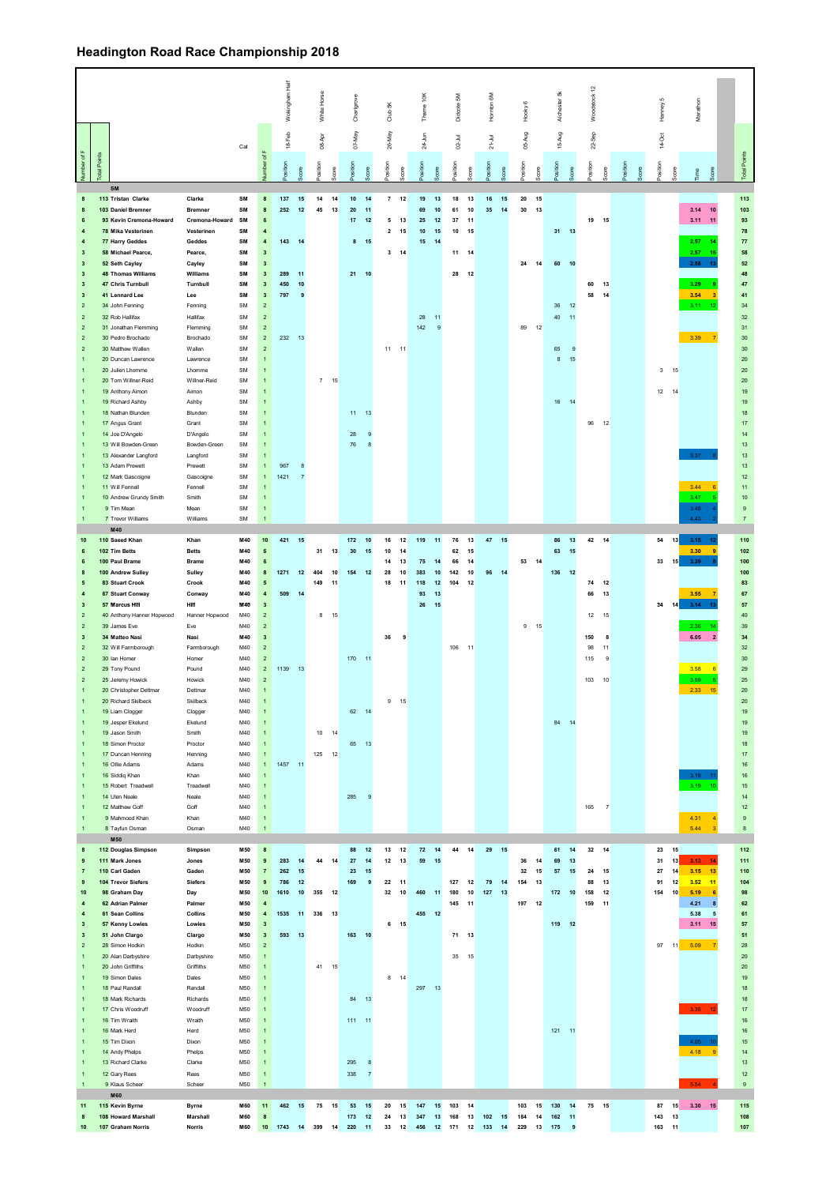## **Headington Road Race Championship 2018**

|                                                    |            |                                                |                              |                         |                                         | Wokingham Half |                | White Horse |       | Charigrove       |                          | Club 5K                                  | Thame 10K        |              | Didcote 5M   |          | Homton 6M    | Hooky <sub>6</sub> |          | 5K<br>Alchester | $\tilde{c}$<br>Woodstock |   |          | Hamey 5         | Marathon                                                  |                                |
|----------------------------------------------------|------------|------------------------------------------------|------------------------------|-------------------------|-----------------------------------------|----------------|----------------|-------------|-------|------------------|--------------------------|------------------------------------------|------------------|--------------|--------------|----------|--------------|--------------------|----------|-----------------|--------------------------|---|----------|-----------------|-----------------------------------------------------------|--------------------------------|
|                                                    |            |                                                |                              | Cat                     |                                         | 18-Feb         |                | 08-Apr      |       | 07-May           |                          | 26-May                                   | 24-Jun           |              | $02 -$ Jul   |          | $21 -$ Jul   | 05-Aug             |          | 15-Aug          | $22-$ Sep                |   |          | 14-Oct          |                                                           |                                |
| Number of F                                        | dal Points |                                                |                              |                         | of F<br>umber                           | psition        |                | osition     | core: | naition          |                          | osition                                  | osition          |              | osition      |          | psition<br>š | nollied            | core     |                 | osition                  |   | osition  | go              | Score<br>ime                                              | <b>Total Points</b>            |
| $\bf{8}$                                           |            | SM<br>113 Tristan Clarke                       | Clarke                       | SM                      | $\bf8$                                  | 137            | 15             | 14          | 14    | 10               | 14                       | $7 12$                                   | 19               | 13           | 18           | 13       | 16<br>15     | 20                 | 15       |                 |                          |   |          |                 |                                                           | 113                            |
| $\mathbf{a}$                                       |            | 103 Daniel Bremner                             | <b>Bremner</b>               | SM                      | $\mathbf{a}$                            | 252            | 12             | 45          | 13    | 20               | 11                       |                                          | 69               | 10           | 61           | 10       | 35<br>14     | 30                 | 13       |                 |                          |   |          |                 | 3.14<br>10                                                | 103                            |
| 6<br>$\overline{4}$                                |            | 93 Kevin Cremona-Howard<br>78 Mika Vesterinen  | Cremona-Howard<br>Vesterinen | SM<br>SM                | $\bf 6$<br>$\overline{4}$               |                |                |             |       | 17               | 12                       | 5<br>13<br>15<br>$\overline{\mathbf{2}}$ | 25<br>10         | 12<br>15     | $37\,$<br>10 | 11<br>15 |              |                    |          | $31 13$         | 19 15                    |   |          |                 | 3.11<br>11                                                | 93<br>78                       |
| $\clubsuit$                                        |            | 77 Harry Geddes                                | Geddes                       | SM                      | $\pmb{4}$                               | 143            | 14             |             |       | $8$ 15           |                          |                                          | 15               | 14           |              |          |              |                    |          |                 |                          |   |          |                 | 2.57<br>14                                                | ${\bf 77}$                     |
| $\mathbf 3$                                        |            | 58 Michael Pearce,                             | Pearce,                      | SM                      | $\overline{\mathbf{3}}$                 |                |                |             |       |                  |                          | 14<br>3                                  |                  |              | 11           | 14       |              |                    |          |                 |                          |   |          |                 | 2.57<br>15                                                | 58                             |
| $\mathbf 3$                                        |            | 52 Seth Cayley                                 | Cayley                       | SM                      | $\mathbf{3}$                            |                |                |             |       |                  |                          |                                          |                  |              |              |          |              | $\bf 24$           | 14       | 60<br>10        |                          |   |          |                 | 2.58<br>13                                                | ${\bf 52}$                     |
| $\mathbf 3$<br>$\overline{\mathbf{3}}$             |            | <b>48 Thomas Williams</b><br>47 Chris Turnbull | Williams<br>Turnbull         | SM<br>SM                | $\mathbf 3$<br>$\overline{\mathbf{3}}$  | 289<br>450     | 11<br>10       |             |       | 21 10            |                          |                                          |                  |              | 28           | 12       |              |                    |          |                 | 60<br>13                 |   |          |                 | 3.29                                                      | 48<br>47                       |
| $\mathbf{3}$                                       |            | 41 Lennard Lee                                 | Lee                          | SM                      | $\overline{\mathbf{3}}$                 | 797            | 9              |             |       |                  |                          |                                          |                  |              |              |          |              |                    |          |                 | 58<br>14                 |   |          |                 | 3.54<br>$\overline{\mathbf{3}}$                           | 41                             |
| $\mathbf{2}$                                       |            | 34 John Fenning                                | Fenning                      | SM                      | $\mathbf{2}$                            |                |                |             |       |                  |                          |                                          |                  |              |              |          |              |                    |          | 36<br>12        |                          |   |          |                 | 3.11<br>12                                                | 34                             |
| $\sqrt{2}$                                         |            | 32 Rob Hallifax                                | Hallifax                     | ${\sf SM}$              | $\mathbf 2$                             |                |                |             |       |                  |                          |                                          | 28               | $-11$        |              |          |              |                    |          | 40<br>$-11$     |                          |   |          |                 |                                                           | $32\,$                         |
| $\sqrt{2}$<br>$\sqrt{2}$                           |            | 31 Jonathan Flemming<br>30 Pedro Brochado      | Flemming<br>Brochado         | <b>SM</b><br>${\sf SM}$ | $\overline{2}$<br>$\mathbf 2$           | 232            | 13             |             |       |                  |                          |                                          | 142              | $\mathbf{9}$ |              |          |              | 89                 | 12       |                 |                          |   |          |                 | 3.39<br>$\overline{7}$                                    | 31<br>$30\,$                   |
| $\sqrt{2}$                                         |            | 30 Matthew Wallen                              | Wallen                       | <b>SM</b>               | $\sqrt{2}$                              |                |                |             |       |                  |                          | $11 - 11$                                |                  |              |              |          |              |                    |          | 65<br>-9        |                          |   |          |                 |                                                           | 30                             |
| $\overline{1}$                                     |            | 20 Duncan Lawrence                             | Lawrence                     | <b>SM</b>               | $\mathbf{1}$                            |                |                |             |       |                  |                          |                                          |                  |              |              |          |              |                    |          | $\bf8$<br>15    |                          |   |          |                 |                                                           | $20\,$                         |
| $\overline{1}$                                     |            | 20 Julien Lhomme                               | Lhomme                       | <b>SM</b>               | $\mathbf{1}$                            |                |                |             |       |                  |                          |                                          |                  |              |              |          |              |                    |          |                 |                          |   |          | $3 - 15$        |                                                           | $20\,$                         |
| $\overline{1}$<br>$\overline{1}$                   |            | 20 Tom Willner-Reid<br>19 Anthony Aimon        | Willner-Reid<br>Aimon        | <b>SM</b><br><b>SM</b>  | $\mathbf{1}$<br>$\mathbf{1}$            |                |                | $7 - 15$    |       |                  |                          |                                          |                  |              |              |          |              |                    |          |                 |                          |   |          | 12<br>14        |                                                           | $20\,$<br>$19$                 |
| $\overline{1}$                                     |            | 19 Richard Ashby                               | Ashby                        | <b>SM</b>               | $\mathbf{1}$                            |                |                |             |       |                  |                          |                                          |                  |              |              |          |              |                    |          | 16 14           |                          |   |          |                 |                                                           | 19                             |
| $\overline{1}$                                     |            | 18 Nathan Blunden                              | Blunden                      | <b>SM</b>               |                                         |                |                |             |       | 11               | 13                       |                                          |                  |              |              |          |              |                    |          |                 |                          |   |          |                 |                                                           | 18                             |
| $\mathbf{1}$                                       |            | 17 Angus Grant                                 | Grant                        | SM                      | $\mathbf{1}$                            |                |                |             |       |                  |                          |                                          |                  |              |              |          |              |                    |          |                 | 96<br>12                 |   |          |                 |                                                           | 17                             |
| $\overline{1}$<br>$\overline{1}$                   |            | 14 Joe D'Angelo<br>13 Will Bowden-Green        | D'Angelo<br>Bowden-Green     | SM<br>SM                | $\mathbf{1}$<br>$\mathbf{1}$            |                |                |             |       | 28<br>${\bf 76}$ | $\overline{9}$<br>$\bf8$ |                                          |                  |              |              |          |              |                    |          |                 |                          |   |          |                 |                                                           | $14$<br>$13$                   |
| $\overline{1}$                                     |            | 13 Alexander Langford                          | Langford                     | SM                      | $\mathbf{1}$                            |                |                |             |       |                  |                          |                                          |                  |              |              |          |              |                    |          |                 |                          |   |          |                 | 3.37                                                      | 13                             |
| $\overline{1}$                                     |            | 13 Adam Prewett                                | Prewett                      | SM                      | $\mathbf{1}$                            | 967            | $^{\rm 8}$     |             |       |                  |                          |                                          |                  |              |              |          |              |                    |          |                 |                          |   |          |                 |                                                           | $13$                           |
| $\overline{1}$                                     |            | 12 Mark Gascoigne                              | Gascoigne                    | SM                      | $\mathbf{1}$                            | 1421           | $\overline{7}$ |             |       |                  |                          |                                          |                  |              |              |          |              |                    |          |                 |                          |   |          |                 |                                                           | 12                             |
| $\overline{1}$<br>$\overline{1}$                   |            | 11 Will Fennell<br>10 Andrew Grundy Smith      | Fennell<br>Smith             | SM<br>SM                | $\mathbf{1}$<br>$\mathbf{1}$            |                |                |             |       |                  |                          |                                          |                  |              |              |          |              |                    |          |                 |                          |   |          |                 | 3.44<br>6<br>3.47                                         | 11<br>$10$                     |
| $\overline{1}$                                     |            | 9 Tim Mean                                     | Mean                         | SM                      | $\mathbf{1}$                            |                |                |             |       |                  |                          |                                          |                  |              |              |          |              |                    |          |                 |                          |   |          |                 | 3.48                                                      | $\mathsf{9}$                   |
| $\mathbf{1}$                                       |            | 7 Trevor Williams                              | Williams                     | SM                      | $\mathbf{1}$                            |                |                |             |       |                  |                          |                                          |                  |              |              |          |              |                    |          |                 |                          |   |          |                 | 4.43                                                      | $\overline{7}$                 |
| 10                                                 |            | M40<br>110 Saeed Khan                          | Khan                         | M40                     | 10                                      | 421            | 15             |             |       | 172              | 10                       | 12<br>16                                 | 119              | 11           | 76           | 13       | 47 15        |                    |          | 86              | 42 14                    |   |          | 13<br>54        | $3.15$ 12                                                 |                                |
| 6                                                  |            | 102 Tim Betts                                  | <b>Betts</b>                 | M40                     | 6                                       |                |                | 31          | 13    | 30 <sup>2</sup>  | 15                       | 10<br>14                                 |                  |              | 62           | 15       |              |                    |          | 13<br>63<br>15  |                          |   |          |                 | 3.30<br>-9                                                | 110<br>102                     |
| 6                                                  |            | 100 Paul Brame                                 | Brame                        | M40                     | 6                                       |                |                |             |       |                  |                          | 13<br>14                                 | 75               | 14           | 66           | 14       |              | 53                 | 14       |                 |                          |   |          | 15<br>33        | 3.39                                                      | 100                            |
| 8                                                  |            | 100 Andrew Sulley                              | Sulley                       | M40                     | 8                                       | 1271           | 12             | 404         | 10    | 154              | 12                       | 28<br>10                                 | 383              | 10           | 142          | 10       | 96<br>14     |                    |          | 136 12          |                          |   |          |                 |                                                           | 100                            |
| 5                                                  |            | 83 Stuart Crook                                | Crook                        | M40                     | 5                                       |                |                | 149         | 11    |                  |                          | 11<br>18                                 | 118              | $12$         | 104          | 12       |              |                    |          |                 | 12<br>74                 |   |          |                 |                                                           | 83                             |
| $\overline{4}$<br>$\mathbf 3$                      |            | 67 Stuart Conway<br>57 Marcus Hill             | Conway<br>HIII               | M40<br>M40              | $\pmb{4}$<br>$\mathbf 3$                | 509            | 14             |             |       |                  |                          |                                          | 93<br>${\bf 26}$ | 13<br>15     |              |          |              |                    |          |                 | 66<br>13                 |   |          | 14<br>34        | 3.55<br>7<br>3.14<br>$-10$                                | 67<br>57                       |
| $\boldsymbol{2}$                                   |            | 40 Anthony Hanner Hopwood                      | Hanner Hopwood               | M40                     | $\mathbf 2$                             |                |                | 8 15        |       |                  |                          |                                          |                  |              |              |          |              |                    |          |                 | 12 15                    |   |          |                 |                                                           | $40\,$                         |
| $\sqrt{2}$                                         |            | 39 James Eve                                   | Eve                          | M40                     | $\sqrt{2}$                              |                |                |             |       |                  |                          |                                          |                  |              |              |          |              | 9                  | 15       |                 |                          |   |          |                 | 2.36<br>14                                                | 39                             |
| $\mathbf{3}$                                       |            | 34 Matteo Nasi                                 | Nasi                         | M40                     | $\mathbf{3}$                            |                |                |             |       |                  |                          | 36<br>-9                                 |                  |              |              |          |              |                    |          |                 | 150                      | 8 |          |                 | 6.05<br>$\overline{2}$                                    | 34                             |
| $\overline{2}$                                     |            | 32 Will Farmborough                            | Farmborough                  | M40                     | $\mathbf{2}$                            |                |                |             |       |                  |                          |                                          |                  |              | 106 11       |          |              |                    |          |                 | 98<br>11                 |   |          |                 |                                                           | 32                             |
| $\mathbf{2}$<br>$\mathbf{2}$                       |            | 30 Ian Homer<br>29 Tony Pound                  | Homer<br>Pound               | M40<br>M40              | $\mathbf{2}$<br>$\overline{2}$          | 1139           | 13             |             |       | 170 11           |                          |                                          |                  |              |              |          |              |                    |          |                 | 115                      | 9 |          |                 | 3.58<br>6                                                 | 30<br>29                       |
| $\sqrt{2}$                                         |            | 25 Jeremy Howick                               | Howick                       | M40                     | $\mathbf{2}$                            |                |                |             |       |                  |                          |                                          |                  |              |              |          |              |                    |          |                 | 103 10                   |   |          |                 | 3.59                                                      | 25                             |
| $\overline{1}$                                     |            | 20 Christopher Dettmar                         | Dettmar                      | M40                     | $\overline{1}$                          |                |                |             |       |                  |                          |                                          |                  |              |              |          |              |                    |          |                 |                          |   |          |                 | 2.33<br>15                                                | $20\degree$                    |
| $\overline{1}$                                     |            | 20 Richard Skilheck                            | Skilbeck                     | M40                     | $\overline{1}$                          |                |                |             |       |                  |                          | $9$ 15                                   |                  |              |              |          |              |                    |          |                 |                          |   |          |                 |                                                           | 20                             |
| $\mathbf{1}$<br>$\overline{1}$                     |            | 19 Liam Clogger<br>19 Jesper Ekelund           | Clogger<br>Ekelund           | M40<br>M40              |                                         |                |                |             |       | 62 14            |                          |                                          |                  |              |              |          |              |                    |          | 84<br>14        |                          |   |          |                 |                                                           | 19<br>$19\,$                   |
| $\overline{1}$                                     |            | 19 Jason Smith                                 | Smith                        | M40                     |                                         |                |                | 10 14       |       |                  |                          |                                          |                  |              |              |          |              |                    |          |                 |                          |   |          |                 |                                                           | 19                             |
| $\overline{1}$                                     |            | 18 Simon Proctor                               | Proctor                      | M40                     |                                         |                |                |             |       | 65               | 13                       |                                          |                  |              |              |          |              |                    |          |                 |                          |   |          |                 |                                                           | $18\,$                         |
|                                                    |            | 17 Duncan Henning                              | Henning                      | M40                     | $\mathbf{1}$                            |                |                | 125 12      |       |                  |                          |                                          |                  |              |              |          |              |                    |          |                 |                          |   |          |                 |                                                           | 17                             |
| $\overline{1}$                                     |            | 16 Ollie Adams                                 | Adams                        | M40                     | $\mathbf{1}$                            | 1457 11        |                |             |       |                  |                          |                                          |                  |              |              |          |              |                    |          |                 |                          |   |          |                 |                                                           | $16\,$                         |
| $\overline{1}$                                     |            | 16 Siddiq Khan<br>15 Robert Treadwell          | Khan<br>Treadwell            | M40<br>M40              |                                         |                |                |             |       |                  |                          |                                          |                  |              |              |          |              |                    |          |                 |                          |   |          |                 | 3.16<br>3.19<br>10                                        | $16\,$<br>$15\,$               |
|                                                    |            | 14 Ulen Neale                                  | Neale                        | M40                     |                                         |                |                |             |       | 285              | $\mathbf{Q}$             |                                          |                  |              |              |          |              |                    |          |                 |                          |   |          |                 |                                                           | 14                             |
| $\mathbf{1}$                                       |            | 12 Matthew Goff                                | Goff                         | M40                     | $\mathbf{1}$                            |                |                |             |       |                  |                          |                                          |                  |              |              |          |              |                    |          |                 | 165<br>$\overline{7}$    |   |          |                 |                                                           | 12                             |
| $\mathbf{1}$<br>$\mathbf{1}$                       |            | 9 Mahmood Khan<br>8 Tayfun Osman               | Khan<br>Osman                | M40<br>M40              | $\mathbf{1}$<br>$\mathbf{1}$            |                |                |             |       |                  |                          |                                          |                  |              |              |          |              |                    |          |                 |                          |   |          |                 | 4.31<br>$\overline{4}$<br>5.44<br>$\overline{\mathbf{3}}$ | $\boldsymbol{9}$<br>$^{\rm 8}$ |
|                                                    |            | M50                                            |                              |                         |                                         |                |                |             |       |                  |                          |                                          |                  |              |              |          |              |                    |          |                 |                          |   |          |                 |                                                           |                                |
| 8                                                  |            | 112 Douglas Simpson                            | Simpson                      | M50                     | 8                                       |                |                |             |       | 88               | 12                       | 13<br>12                                 | 72               | 14           | 44           | 14       | 29 15        |                    |          | 61<br>14        | 32 14                    |   |          | 23<br>15        |                                                           | 112                            |
| 9                                                  |            | 111 Mark Jones                                 | Jones                        | M50                     | $\overline{9}$                          | 283            | 14             | 44          | 14    | 27               | 14                       | 12<br>13                                 | 59               | 15           |              |          |              | 36                 | 14       | 69<br>13        |                          |   | 31       | 13              | 3.13<br>14                                                | 111                            |
| $\overline{7}$<br>9                                |            | 110 Carl Gaden<br>104 Trevor Siefers           | Gaden<br>Siefers             | M50<br>M50              | $\overline{7}$<br>9                     | 262<br>786     | 15<br>$12\,$   |             |       | 23<br>169        | 15<br>9                  | 22 11                                    |                  |              | 127          | 12       | 79<br>14     | 32<br>154          | 15<br>13 | 57<br>15        | 24<br>15<br>88<br>13     |   | 27<br>91 | 14<br>12        | 3.15<br>13<br>3.52<br>11                                  | 110<br>104                     |
| 10                                                 |            | 98 Graham Day                                  | Day                          | M50                     | 10                                      | 1610           | 10             | 355         | 12    |                  |                          | 32<br>10                                 | 460              | 11           | 180          | 10       | 127<br>13    |                    |          | 172<br>10       | 158<br>12                |   | 154      | 10 <sup>1</sup> | 5.19<br>6                                                 | 98                             |
| $\overline{4}$                                     |            | 62 Adrian Palmer                               | Palmer                       | M50                     | $\overline{4}$                          |                |                |             |       |                  |                          |                                          |                  |              | 145          | 11       |              | 197                | 12       |                 | 159<br>11                |   |          |                 | 4.21<br>8                                                 | 62                             |
| $\overline{4}$                                     |            | 61 Sean Collins                                | Collins                      | M50                     | $\boldsymbol{4}$                        | 1535           | 11             | 336         | 13    |                  |                          |                                          | 455 12           |              |              |          |              |                    |          |                 |                          |   |          |                 | 5.38<br>5                                                 | 61                             |
| $\overline{\mathbf{3}}$<br>$\overline{\mathbf{3}}$ |            | 57 Kenny Lowies<br>51 John Clargo              | Lowies                       | M50<br>M50              | $\overline{\mathbf{3}}$<br>$\mathbf{3}$ | 593            | 13             |             |       | 163 10           |                          | $6$ 15                                   |                  |              | 71 13        |          |              |                    |          | 119 12          |                          |   |          |                 | 3.11<br>15                                                | 57<br>51                       |
| $\boldsymbol{2}$                                   |            | 28 Simon Hodkin                                | Clargo<br>Hodkin             | M50                     | $\sqrt{2}$                              |                |                |             |       |                  |                          |                                          |                  |              |              |          |              |                    |          |                 |                          |   |          | 97 11           | 5.09<br>$\overline{7}$                                    | ${\bf 28}$                     |
| $\overline{1}$                                     |            | 20 Alan Darbyshire                             | Darbyshire                   | M50                     | $\overline{1}$                          |                |                |             |       |                  |                          |                                          |                  |              | 35           | 15       |              |                    |          |                 |                          |   |          |                 |                                                           | 20                             |
| $\overline{1}$                                     |            | 20 John Griffiths                              | Griffiths                    | M50                     | $\mathbf{1}$                            |                |                | 41 15       |       |                  |                          |                                          |                  |              |              |          |              |                    |          |                 |                          |   |          |                 |                                                           | $20\,$                         |
| $\overline{1}$<br>$\overline{1}$                   |            | 19 Simon Dales<br>18 Paul Randall              | Dales<br>Randall             | M50                     | $\overline{1}$<br>$\mathbf{1}$          |                |                |             |       |                  |                          | 14<br>8                                  | 297 13           |              |              |          |              |                    |          |                 |                          |   |          |                 |                                                           | 19                             |
|                                                    |            | 18 Mark Richards                               | Richards                     | M50<br>M50              |                                         |                |                |             |       | 84               | 13                       |                                          |                  |              |              |          |              |                    |          |                 |                          |   |          |                 |                                                           | $18\,$<br>18                   |
| $\overline{1}$                                     |            | 17 Chris Woodruff                              | Woodruff                     | M50                     |                                         |                |                |             |       |                  |                          |                                          |                  |              |              |          |              |                    |          |                 |                          |   |          |                 | 3.38<br>-12                                               | $17\,$                         |
|                                                    |            | 16 Tim Wraith                                  | Wraith                       | M50                     |                                         |                |                |             |       | $111 - 11$       |                          |                                          |                  |              |              |          |              |                    |          |                 |                          |   |          |                 |                                                           | $16\,$                         |
| $\overline{1}$                                     |            | 16 Mark Herd                                   | Herd                         | M50                     | $\mathbf{1}$                            |                |                |             |       |                  |                          |                                          |                  |              |              |          |              |                    |          | 121 11          |                          |   |          |                 |                                                           | $16\,$                         |
| $\overline{1}$                                     |            | 15 Tim Dixon<br>14 Andy Phelps                 | Dixon<br>Phelps              | M50<br>M50              | $\overline{1}$<br>$\mathbf{1}$          |                |                |             |       |                  |                          |                                          |                  |              |              |          |              |                    |          |                 |                          |   |          |                 | 4.05<br>4.18<br>-9                                        | $15\,$<br>$14\,$               |
| $\overline{1}$                                     |            | 13 Richard Clarke                              | Clarke                       | M50                     | $\mathbf{1}$                            |                |                |             |       | 295              | 8                        |                                          |                  |              |              |          |              |                    |          |                 |                          |   |          |                 |                                                           | 13                             |
| $\overline{1}$                                     |            | 12 Gary Rees                                   | Rees                         | M50                     | $\mathbf{1}$                            |                |                |             |       | 338              | $\overline{7}$           |                                          |                  |              |              |          |              |                    |          |                 |                          |   |          |                 |                                                           | 12                             |
| $\mathbf{1}$                                       |            | 9 Klaus Scheer                                 | Scheer                       | M50                     | $\mathbf{1}$                            |                |                |             |       |                  |                          |                                          |                  |              |              |          |              |                    |          |                 |                          |   |          |                 | 5.54                                                      | $\mathsf{9}$                   |
| 11                                                 |            | <b>M60</b><br>115 Kevin Byrne                  | Byrne                        | M60                     | 11                                      | 462            | 15             | 75          | 15    | 53               | 15                       | 20<br>15                                 | 147              | 15           | 103          | 14       |              | 103                | 15       | 130<br>14       | 75 15                    |   | 87       | 15              | $3.30$ 15                                                 | 115                            |
| 8                                                  |            | 108 Howard Marshall                            | Marshall                     | M60                     | 8                                       |                |                |             |       | 173              | 12                       | 13<br>24                                 | 347              | 13           | 168          | 13       | 102<br>15    | 184                | 14       | 162<br>11       |                          |   | 143      | 13              |                                                           | 108                            |
| $10\,$                                             |            | 107 Graham Norris                              | <b>Norris</b>                | M60                     |                                         | 10 1743        | 14             | 399         | 14    | 220              | $-11$                    | 33<br>12                                 | 456              | 12           | 171          | 12       | 133<br>14    | 229                | 13       | 175<br>9        |                          |   |          | 163 11          |                                                           | 107                            |